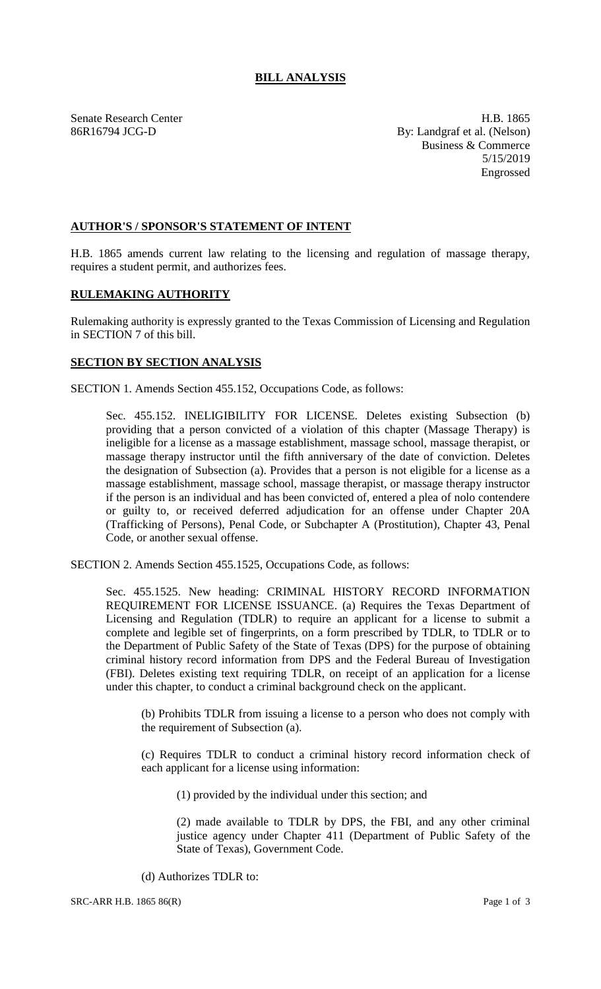## **BILL ANALYSIS**

Senate Research Center **H.B.** 1865 86R16794 JCG-D By: Landgraf et al. (Nelson) Business & Commerce 5/15/2019 Engrossed

## **AUTHOR'S / SPONSOR'S STATEMENT OF INTENT**

H.B. 1865 amends current law relating to the licensing and regulation of massage therapy, requires a student permit, and authorizes fees.

## **RULEMAKING AUTHORITY**

Rulemaking authority is expressly granted to the Texas Commission of Licensing and Regulation in SECTION 7 of this bill.

## **SECTION BY SECTION ANALYSIS**

SECTION 1. Amends Section 455.152, Occupations Code, as follows:

Sec. 455.152. INELIGIBILITY FOR LICENSE. Deletes existing Subsection (b) providing that a person convicted of a violation of this chapter (Massage Therapy) is ineligible for a license as a massage establishment, massage school, massage therapist, or massage therapy instructor until the fifth anniversary of the date of conviction. Deletes the designation of Subsection (a). Provides that a person is not eligible for a license as a massage establishment, massage school, massage therapist, or massage therapy instructor if the person is an individual and has been convicted of, entered a plea of nolo contendere or guilty to, or received deferred adjudication for an offense under Chapter 20A (Trafficking of Persons), Penal Code, or Subchapter A (Prostitution), Chapter 43, Penal Code, or another sexual offense.

SECTION 2. Amends Section 455.1525, Occupations Code, as follows:

Sec. 455.1525. New heading: CRIMINAL HISTORY RECORD INFORMATION REQUIREMENT FOR LICENSE ISSUANCE. (a) Requires the Texas Department of Licensing and Regulation (TDLR) to require an applicant for a license to submit a complete and legible set of fingerprints, on a form prescribed by TDLR, to TDLR or to the Department of Public Safety of the State of Texas (DPS) for the purpose of obtaining criminal history record information from DPS and the Federal Bureau of Investigation (FBI). Deletes existing text requiring TDLR, on receipt of an application for a license under this chapter, to conduct a criminal background check on the applicant.

(b) Prohibits TDLR from issuing a license to a person who does not comply with the requirement of Subsection (a).

(c) Requires TDLR to conduct a criminal history record information check of each applicant for a license using information:

(1) provided by the individual under this section; and

(2) made available to TDLR by DPS, the FBI, and any other criminal justice agency under Chapter 411 (Department of Public Safety of the State of Texas), Government Code.

(d) Authorizes TDLR to:

SRC-ARR H.B. 1865 86(R) Page 1 of 3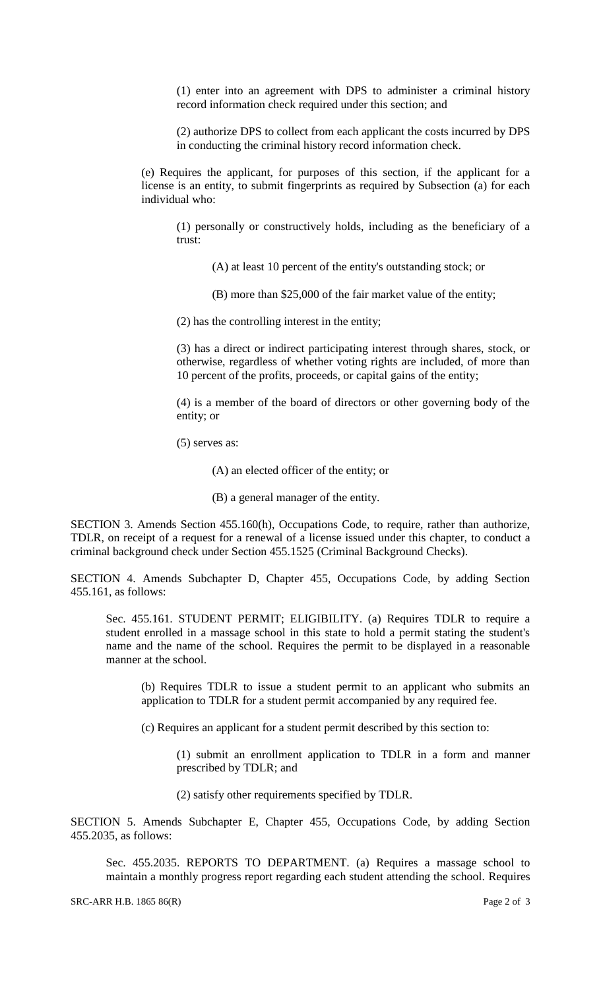(1) enter into an agreement with DPS to administer a criminal history record information check required under this section; and

(2) authorize DPS to collect from each applicant the costs incurred by DPS in conducting the criminal history record information check.

(e) Requires the applicant, for purposes of this section, if the applicant for a license is an entity, to submit fingerprints as required by Subsection (a) for each individual who:

(1) personally or constructively holds, including as the beneficiary of a trust:

(A) at least 10 percent of the entity's outstanding stock; or

(B) more than \$25,000 of the fair market value of the entity;

(2) has the controlling interest in the entity;

(3) has a direct or indirect participating interest through shares, stock, or otherwise, regardless of whether voting rights are included, of more than 10 percent of the profits, proceeds, or capital gains of the entity;

(4) is a member of the board of directors or other governing body of the entity; or

(5) serves as:

(A) an elected officer of the entity; or

(B) a general manager of the entity.

SECTION 3. Amends Section 455.160(h), Occupations Code, to require, rather than authorize, TDLR, on receipt of a request for a renewal of a license issued under this chapter, to conduct a criminal background check under Section 455.1525 (Criminal Background Checks).

SECTION 4. Amends Subchapter D, Chapter 455, Occupations Code, by adding Section 455.161, as follows:

Sec. 455.161. STUDENT PERMIT; ELIGIBILITY. (a) Requires TDLR to require a student enrolled in a massage school in this state to hold a permit stating the student's name and the name of the school. Requires the permit to be displayed in a reasonable manner at the school.

(b) Requires TDLR to issue a student permit to an applicant who submits an application to TDLR for a student permit accompanied by any required fee.

(c) Requires an applicant for a student permit described by this section to:

(1) submit an enrollment application to TDLR in a form and manner prescribed by TDLR; and

(2) satisfy other requirements specified by TDLR.

SECTION 5. Amends Subchapter E, Chapter 455, Occupations Code, by adding Section 455.2035, as follows:

Sec. 455.2035. REPORTS TO DEPARTMENT. (a) Requires a massage school to maintain a monthly progress report regarding each student attending the school. Requires

SRC-ARR H.B. 1865 86(R) Page 2 of 3